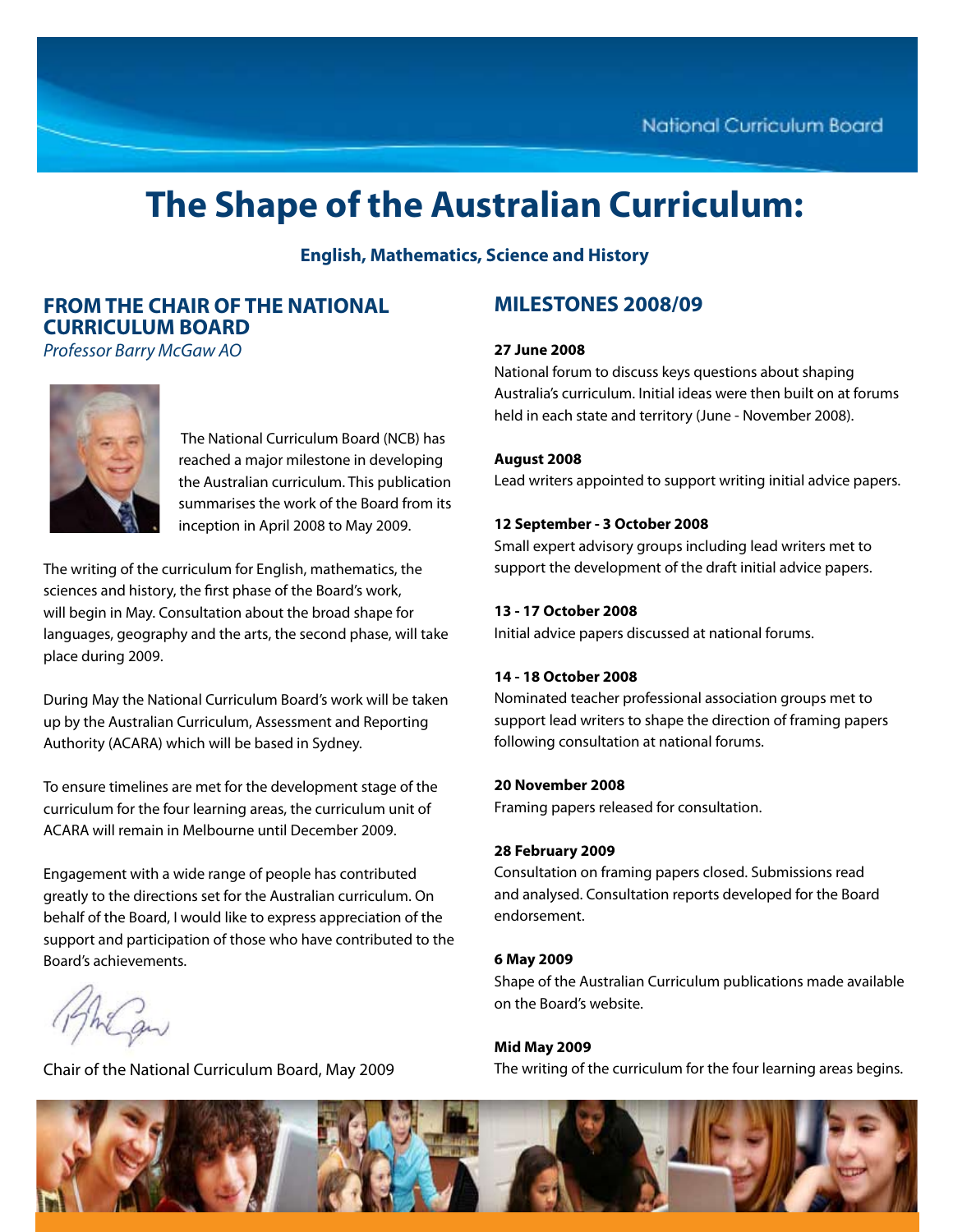# **The Shape of the Australian Curriculum:**

**English, Mathematics, Science and History**

# **FROM THE CHAIR OF THE NATIONAL CURRICULUM BOARD**

*Professor Barry McGaw AO*



 The National Curriculum Board (NCB) has reached a major milestone in developing the Australian curriculum. This publication summarises the work of the Board from its inception in April 2008 to May 2009.

The writing of the curriculum for English, mathematics, the sciences and history, the first phase of the Board's work, will begin in May. Consultation about the broad shape for languages, geography and the arts, the second phase, will take place during 2009.

During May the National Curriculum Board's work will be taken up by the Australian Curriculum, Assessment and Reporting Authority (ACARA) which will be based in Sydney.

To ensure timelines are met for the development stage of the curriculum for the four learning areas, the curriculum unit of ACARA will remain in Melbourne until December 2009.

Engagement with a wide range of people has contributed greatly to the directions set for the Australian curriculum. On behalf of the Board, I would like to express appreciation of the support and participation of those who have contributed to the Board's achievements.

The Can

Chair of the National Curriculum Board, May 2009

# **MILESTONES 2008/09**

### **27 June 2008**

National forum to discuss keys questions about shaping Australia's curriculum. Initial ideas were then built on at forums held in each state and territory (June - November 2008).

#### **August 2008**

Lead writers appointed to support writing initial advice papers.

#### **12 September - 3 October 2008**

Small expert advisory groups including lead writers met to support the development of the draft initial advice papers.

#### **13 - 17 October 2008**

Initial advice papers discussed at national forums.

#### **14 - 18 October 2008**

Nominated teacher professional association groups met to support lead writers to shape the direction of framing papers following consultation at national forums.

#### **20 November 2008**

Framing papers released for consultation.

#### **28 February 2009**

Consultation on framing papers closed. Submissions read and analysed. Consultation reports developed for the Board endorsement.

#### **6 May 2009**

Shape of the Australian Curriculum publications made available on the Board's website.

#### **Mid May 2009**

The writing of the curriculum for the four learning areas begins.

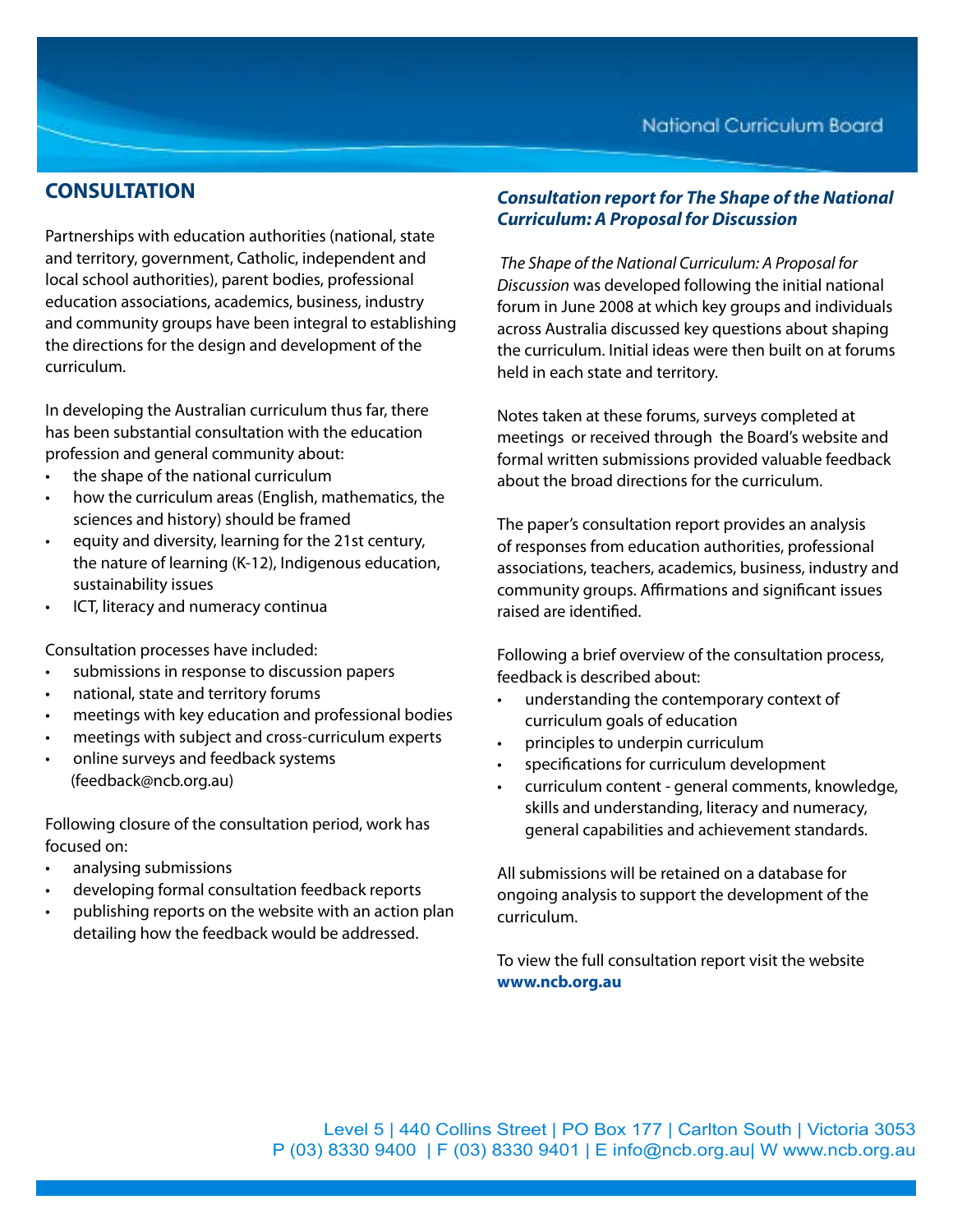# **CONSULTATION**

Partnerships with education authorities (national, state and territory, government, Catholic, independent and local school authorities), parent bodies, professional education associations, academics, business, industry and community groups have been integral to establishing the directions for the design and development of the curriculum.

In developing the Australian curriculum thus far, there has been substantial consultation with the education profession and general community about:

- the shape of the national curriculum
- • how the curriculum areas (English, mathematics, the sciences and history) should be framed
- equity and diversity, learning for the 21st century, the nature of learning (K-12), Indigenous education, sustainability issues
- ICT, literacy and numeracy continua

Consultation processes have included:

- submissions in response to discussion papers
- national, state and territory forums
- meetings with key education and professional bodies
- meetings with subject and cross-curriculum experts
- online surveys and feedback systems (feedback@ncb.org.au)

Following closure of the consultation period, work has focused on:

- • analysing submissions
- developing formal consultation feedback reports
- publishing reports on the website with an action plan detailing how the feedback would be addressed.

### *Consultation report for The Shape of the National Curriculum: A Proposal for Discussion*

 *The Shape of the National Curriculum: A Proposal for Discussion* was developed following the initial national forum in June 2008 at which key groups and individuals across Australia discussed key questions about shaping the curriculum. Initial ideas were then built on at forums held in each state and territory.

Notes taken at these forums, surveys completed at meetings or received through the Board's website and formal written submissions provided valuable feedback about the broad directions for the curriculum.

The paper's consultation report provides an analysis of responses from education authorities, professional associations, teachers, academics, business, industry and community groups. Affirmations and significant issues raised are identified.

Following a brief overview of the consultation process, feedback is described about:

- • understanding the contemporary context of curriculum goals of education
- principles to underpin curriculum
- specifications for curriculum development
- curriculum content general comments, knowledge, skills and understanding, literacy and numeracy, general capabilities and achievement standards.

All submissions will be retained on a database for ongoing analysis to support the development of the curriculum.

To view the full consultation report visit the website **www.ncb.org.au** 

Level 5 | 440 Collins Street | PO Box 177 | Carlton South | Victoria 3053 P (03) 8330 9400 | F (03) 8330 9401 | E info@ncb.org.au| W www.ncb.org.au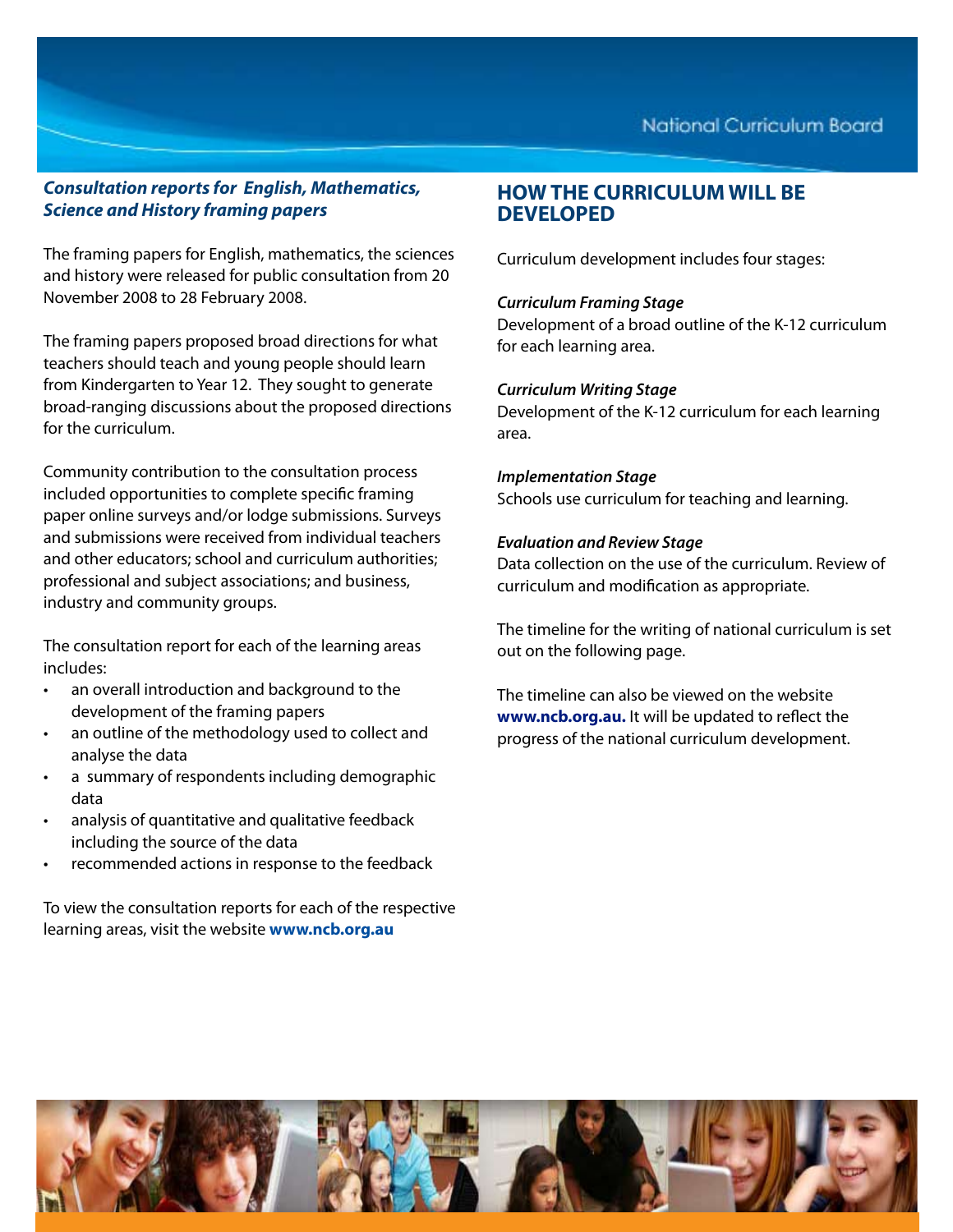### *Consultation reports for English, Mathematics, Science and History framing papers*

The framing papers for English, mathematics, the sciences and history were released for public consultation from 20 November 2008 to 28 February 2008.

The framing papers proposed broad directions for what teachers should teach and young people should learn from Kindergarten to Year 12. They sought to generate broad-ranging discussions about the proposed directions for the curriculum.

Community contribution to the consultation process included opportunities to complete specific framing paper online surveys and/or lodge submissions. Surveys and submissions were received from individual teachers and other educators; school and curriculum authorities; professional and subject associations; and business, industry and community groups.

The consultation report for each of the learning areas includes:

- an overall introduction and background to the development of the framing papers
- • an outline of the methodology used to collect and analyse the data
- a summary of respondents including demographic data
- analysis of quantitative and qualitative feedback including the source of the data
- recommended actions in response to the feedback

To view the consultation reports for each of the respective learning areas, visit the website **www.ncb.org.au**

# **HOW THE CURRICULUM WILL BE DEVELOPED**

Curriculum development includes four stages:

### *Curriculum Framing Stage*

Development of a broad outline of the K-12 curriculum for each learning area.

### *Curriculum Writing Stage*

Development of the K-12 curriculum for each learning area.

### *Implementation Stage*

Schools use curriculum for teaching and learning.

### *Evaluation and Review Stage*

Data collection on the use of the curriculum. Review of curriculum and modification as appropriate.

The timeline for the writing of national curriculum is set out on the following page.

The timeline can also be viewed on the website **www.ncb.org.au.** It will be updated to reflect the progress of the national curriculum development.

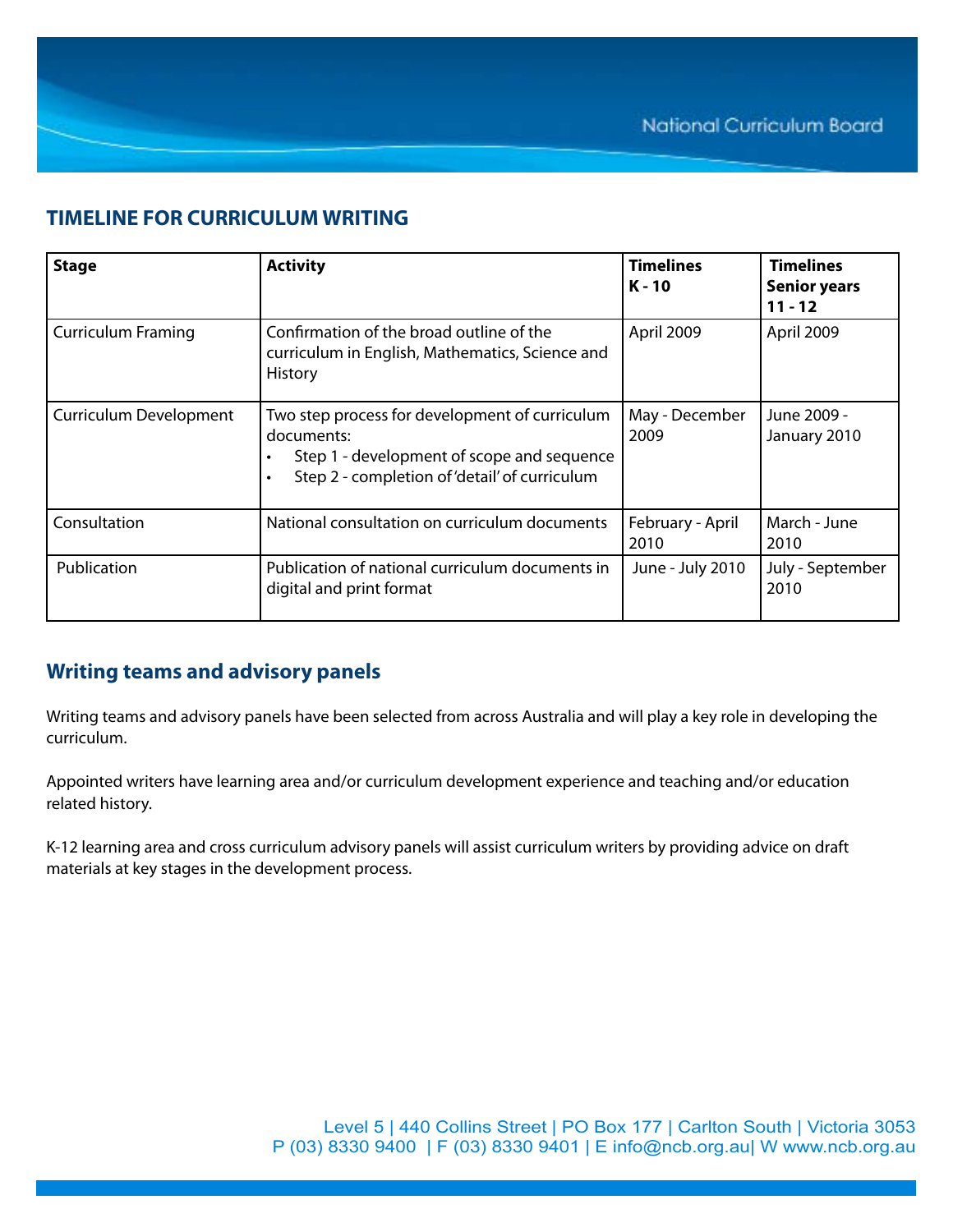# **TIMELINE FOR CURRICULUM WRITING**

| <b>Stage</b>              | <b>Activity</b>                                                                                                                                                  | <b>Timelines</b><br>K-10 | <b>Timelines</b><br><b>Senior years</b><br>$11 - 12$ |
|---------------------------|------------------------------------------------------------------------------------------------------------------------------------------------------------------|--------------------------|------------------------------------------------------|
| <b>Curriculum Framing</b> | Confirmation of the broad outline of the<br>curriculum in English, Mathematics, Science and<br><b>History</b>                                                    | April 2009               | April 2009                                           |
| Curriculum Development    | Two step process for development of curriculum<br>documents:<br>Step 1 - development of scope and sequence<br>Step 2 - completion of 'detail' of curriculum<br>٠ | May - December<br>2009   | June 2009 -<br>January 2010                          |
| Consultation              | National consultation on curriculum documents                                                                                                                    | February - April<br>2010 | March - June<br>2010                                 |
| Publication               | Publication of national curriculum documents in<br>digital and print format                                                                                      | June - July 2010         | July - September<br>2010                             |

# **Writing teams and advisory panels**

Writing teams and advisory panels have been selected from across Australia and will play a key role in developing the curriculum.

Appointed writers have learning area and/or curriculum development experience and teaching and/or education related history.

K-12 learning area and cross curriculum advisory panels will assist curriculum writers by providing advice on draft materials at key stages in the development process.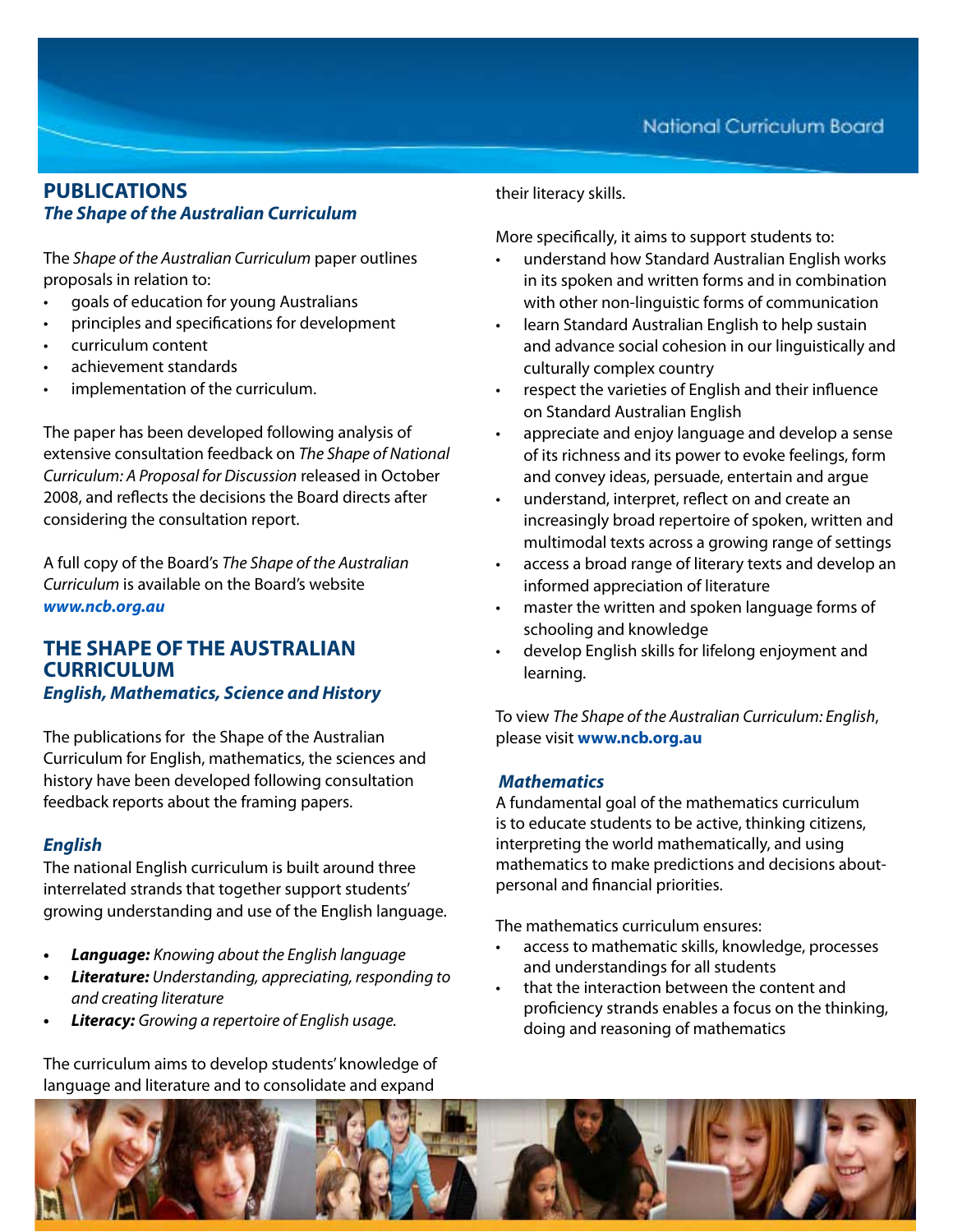# **PUBLICATIONS** *The Shape of the Australian Curriculum*

The *Shape of the Australian Curriculum* paper outlines proposals in relation to:

- goals of education for young Australians
- • principles and specifications for development
- curriculum content
- achievement standards
- implementation of the curriculum.

The paper has been developed following analysis of extensive consultation feedback on *The Shape of National Curriculum: A Proposal for Discussion* released in October 2008, and reflects the decisions the Board directs after considering the consultation report.

A full copy of the Board's *The Shape of the Australian Curriculum* is available on the Board's website *www.ncb.org.au*

### **THE SHAPE OF THE AUSTRALIAN CURRICULUM** *English, Mathematics, Science and History*

The publications for the Shape of the Australian Curriculum for English, mathematics, the sciences and history have been developed following consultation feedback reports about the framing papers.

### *English*

The national English curriculum is built around three interrelated strands that together support students' growing understanding and use of the English language.

- **Language:** *Knowing about the English language*
- **•**  *Literature: Understanding, appreciating, responding to and creating literature*
- *Literacy: Growing a repertoire of English usage.*

The curriculum aims to develop students' knowledge of language and literature and to consolidate and expand

their literacy skills.

More specifically, it aims to support students to:

- understand how Standard Australian English works in its spoken and written forms and in combination with other non-linguistic forms of communication
- learn Standard Australian English to help sustain and advance social cohesion in our linguistically and culturally complex country
- respect the varieties of English and their influence on Standard Australian English
- appreciate and enjoy language and develop a sense of its richness and its power to evoke feelings, form and convey ideas, persuade, entertain and argue
- understand, interpret, reflect on and create an increasingly broad repertoire of spoken, written and multimodal texts across a growing range of settings
- access a broad range of literary texts and develop an informed appreciation of literature
- master the written and spoken language forms of schooling and knowledge
- develop English skills for lifelong enjoyment and learning.

To view *The Shape of the Australian Curriculum: English*, please visit **www.ncb.org.au**

### *Mathematics*

A fundamental goal of the mathematics curriculum is to educate students to be active, thinking citizens, interpreting the world mathematically, and using mathematics to make predictions and decisions aboutpersonal and financial priorities.

The mathematics curriculum ensures:

- access to mathematic skills, knowledge, processes and understandings for all students
- that the interaction between the content and proficiency strands enables a focus on the thinking, doing and reasoning of mathematics